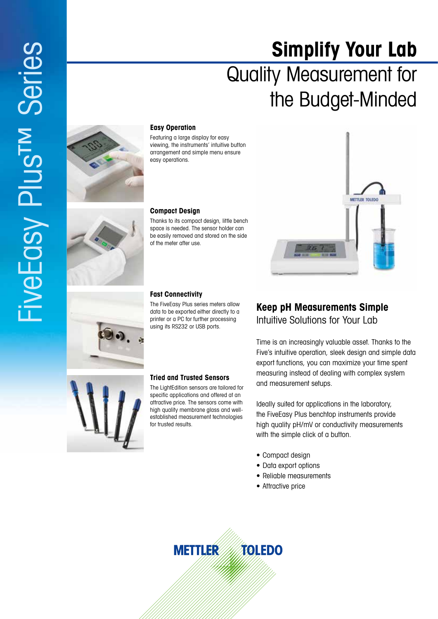# **Simplify Your Lab** Quality Measurement for the Budget-Minded



### **Easy Operation**

Featuring a large display for easy viewing, the instruments' intuitive button arrangement and simple menu ensure easy operations.

#### **Compact Design**

Thanks to its compact design, little bench space is needed. The sensor holder can be easily removed and stored on the side of the meter after use.

#### **Fast Connectivity**

The FiveEasy Plus series meters allow data to be exported either directly to a printer or a PC for further processing using its RS232 or USB ports.

**Tried and Trusted Sensors** The LightEdition sensors are tailored for specific applications and offered at an attractive price. The sensors come with high quality membrane glass and wellestablished measurement technologies

for trusted results.

## **Keep pH Measurements Simple** Intuitive Solutions for Your Lab

Time is an increasingly valuable asset. Thanks to the Five's intuitive operation, sleek design and simple data export functions, you can maximize your time spent measuring instead of dealing with complex system and measurement setups.

METTLER TOLEDO

Ideally suited for applications in the laboratory, the FiveEasy Plus benchtop instruments provide high quality pH /mV or conductivity measurements with the simple click of a button.

- Compact design
- Data export options
- Reliable measurements
- Attractive price